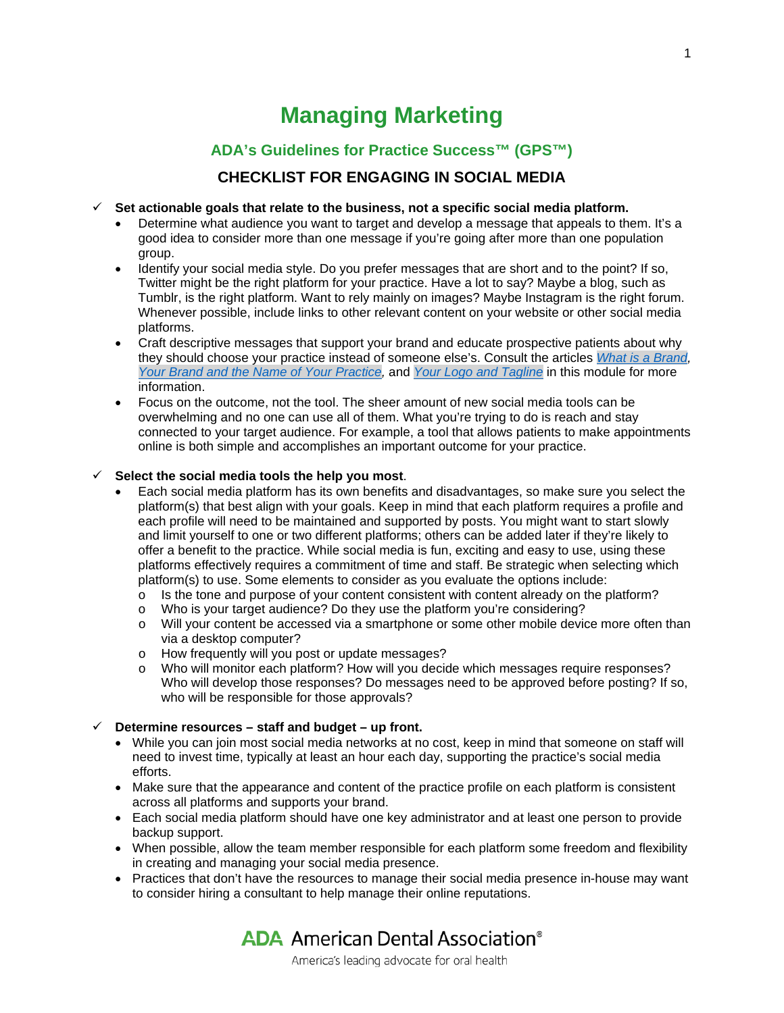# **Managing Marketing**

## **ADA's Guidelines for Practice Success™ (GPS™) CHECKLIST FOR ENGAGING IN SOCIAL MEDIA**

#### **Set actionable goals that relate to the business, not a specific social media platform.**

- Determine what audience you want to target and develop a message that appeals to them. It's a good idea to consider more than one message if you're going after more than one population group.
- Identify your social media style. Do you prefer messages that are short and to the point? If so, Twitter might be the right platform for your practice. Have a lot to say? Maybe a blog, such as Tumblr, is the right platform. Want to rely mainly on images? Maybe Instagram is the right forum. Whenever possible, include links to other relevant content on your website or other social media platforms.
- Craft descriptive messages that support your brand and educate prospective patients about why they should choose your practice instead of someone else's. Consult the articles *[What is a Brand,](https://success.ada.org/en/practice-management/guidelines-for-practice-success/managing-marketing/14_definemanagebrand_whatisabrand) [Your Brand and the Name of Your Practice,](https://success.ada.org/en/practice-management/guidelines-for-practice-success/managing-marketing/15_definemanagebrand_yournameandnameofpractice)* and *[Your Logo and Tagline](https://success.ada.org/en/practice-management/guidelines-for-practice-success/managing-marketing/16_definemanagebrand_yourlogoandtagline)* in this module for more information.
- Focus on the outcome, not the tool. The sheer amount of new social media tools can be overwhelming and no one can use all of them. What you're trying to do is reach and stay connected to your target audience. For example, a tool that allows patients to make appointments online is both simple and accomplishes an important outcome for your practice.

#### $\checkmark$  Select the social media tools the help you most.

- Each social media platform has its own benefits and disadvantages, so make sure you select the platform(s) that best align with your goals. Keep in mind that each platform requires a profile and each profile will need to be maintained and supported by posts. You might want to start slowly and limit yourself to one or two different platforms; others can be added later if they're likely to offer a benefit to the practice. While social media is fun, exciting and easy to use, using these platforms effectively requires a commitment of time and staff. Be strategic when selecting which platform(s) to use. Some elements to consider as you evaluate the options include:
	- o Is the tone and purpose of your content consistent with content already on the platform?
	- o Who is your target audience? Do they use the platform you're considering?
	- o Will your content be accessed via a smartphone or some other mobile device more often than via a desktop computer?
	- o How frequently will you post or update messages?<br>
	o Who will monitor each platform? How will you decide
	- Who will monitor each platform? How will you decide which messages require responses? Who will develop those responses? Do messages need to be approved before posting? If so, who will be responsible for those approvals?

### **Determine resources – staff and budget – up front.**

- While you can join most social media networks at no cost, keep in mind that someone on staff will need to invest time, typically at least an hour each day, supporting the practice's social media efforts.
- Make sure that the appearance and content of the practice profile on each platform is consistent across all platforms and supports your brand.
- Each social media platform should have one key administrator and at least one person to provide backup support.
- When possible, allow the team member responsible for each platform some freedom and flexibility in creating and managing your social media presence.
- Practices that don't have the resources to manage their social media presence in-house may want to consider hiring a consultant to help manage their online reputations.

**ADA** American Dental Association<sup>®</sup>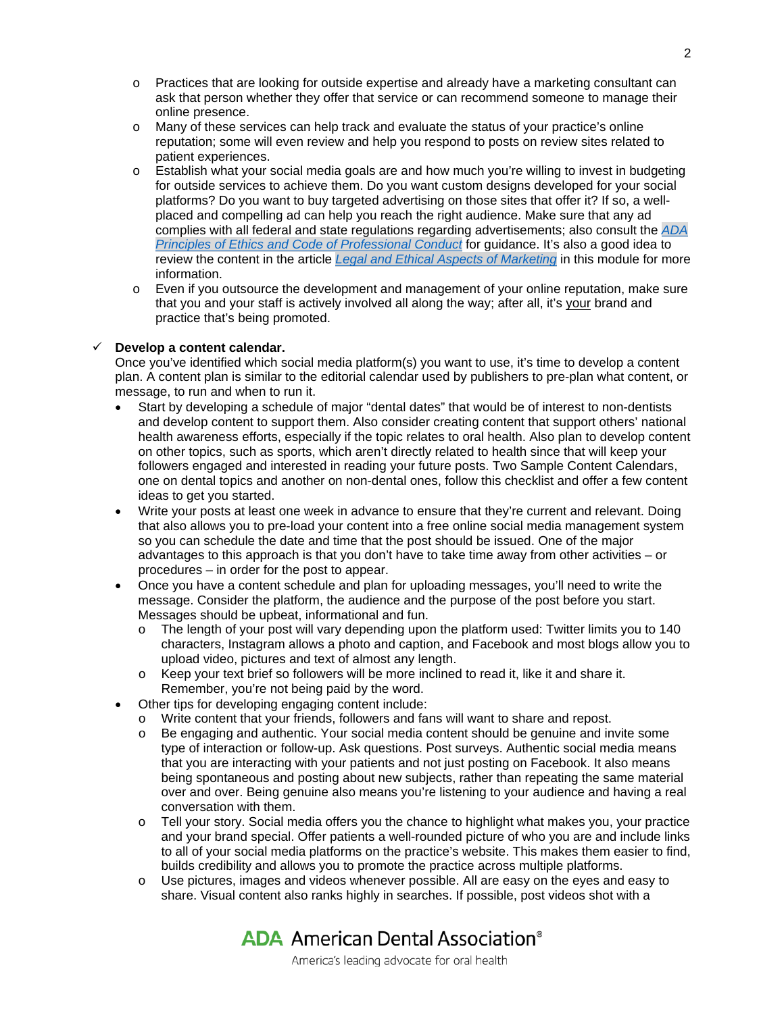- o Practices that are looking for outside expertise and already have a marketing consultant can ask that person whether they offer that service or can recommend someone to manage their online presence.
- o Many of these services can help track and evaluate the status of your practice's online reputation; some will even review and help you respond to posts on review sites related to patient experiences.
- o Establish what your social media goals are and how much you're willing to invest in budgeting for outside services to achieve them. Do you want custom designs developed for your social platforms? Do you want to buy targeted advertising on those sites that offer it? If so, a wellplaced and compelling ad can help you reach the right audience. Make sure that any ad complies with all federal and state regulations regarding advertisements; also consult the *[ADA](http://www.ada.org/%7E/media/ADA/Publications/Files/ADA_Code_of_Ethics_2016.pdf?la=en)  [Principles of Ethics and Code of Professional Conduct](http://www.ada.org/%7E/media/ADA/Publications/Files/ADA_Code_of_Ethics_2016.pdf?la=en)* for guidance. It's also a good idea to review the content in the article *[Legal and Ethical Aspects of Marketing](https://success.ada.org/en/practice-management/guidelines-for-practice-success/managing-marketing/01_marketingdentalpractice_whatitmeans)* in this module for more information.
- o Even if you outsource the development and management of your online reputation, make sure that you and your staff is actively involved all along the way; after all, it's your brand and practice that's being promoted.

### **Develop a content calendar.**

Once you've identified which social media platform(s) you want to use, it's time to develop a content plan. A content plan is similar to the editorial calendar used by publishers to pre-plan what content, or message, to run and when to run it.

- Start by developing a schedule of major "dental dates" that would be of interest to non-dentists and develop content to support them. Also consider creating content that support others' national health awareness efforts, especially if the topic relates to oral health. Also plan to develop content on other topics, such as sports, which aren't directly related to health since that will keep your followers engaged and interested in reading your future posts. Two Sample Content Calendars, one on dental topics and another on non-dental ones, follow this checklist and offer a few content ideas to get you started.
- Write your posts at least one week in advance to ensure that they're current and relevant. Doing that also allows you to pre-load your content into a free online social media management system so you can schedule the date and time that the post should be issued. One of the major advantages to this approach is that you don't have to take time away from other activities – or procedures – in order for the post to appear.
- Once you have a content schedule and plan for uploading messages, you'll need to write the message. Consider the platform, the audience and the purpose of the post before you start. Messages should be upbeat, informational and fun.
	- $\circ$  The length of your post will vary depending upon the platform used: Twitter limits you to 140 characters, Instagram allows a photo and caption, and Facebook and most blogs allow you to upload video, pictures and text of almost any length.
	- o Keep your text brief so followers will be more inclined to read it, like it and share it. Remember, you're not being paid by the word.
- Other tips for developing engaging content include:
	- o Write content that your friends, followers and fans will want to share and repost.
	- o Be engaging and authentic. Your social media content should be genuine and invite some type of interaction or follow-up. Ask questions. Post surveys. Authentic social media means that you are interacting with your patients and not just posting on Facebook. It also means being spontaneous and posting about new subjects, rather than repeating the same material over and over. Being genuine also means you're listening to your audience and having a real conversation with them.
	- o Tell your story. Social media offers you the chance to highlight what makes you, your practice and your brand special. Offer patients a well-rounded picture of who you are and include links to all of your social media platforms on the practice's website. This makes them easier to find, builds credibility and allows you to promote the practice across multiple platforms.
	- o Use pictures, images and videos whenever possible. All are easy on the eyes and easy to share. Visual content also ranks highly in searches. If possible, post videos shot with a

**ADA** American Dental Association<sup>®</sup>

America's leading advocate for oral health